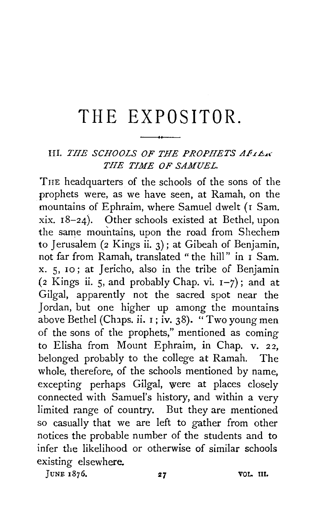## **THE EXPOSITOR.**

## HI. *THE SCHOOLS OF THE PROPHETS A.F.rL!-.L< THE TIME OF SAMUEL.*

TnE headquarters of the schools of the sons of the prophets were, as we have seen, at Ramah, on the mountains of Ephraim, where Samuel dwelt (I Sam.  $xix. 18-24$ ). Other schools existed at Bethel, upon the same mountains, upon the road from Shechem to Jerusalem (2 Kings ii. 3); at Gibeah of Benjamin, not far from Ramah, translated " the hill" in 1 Sam. x. 5, 10; at Jericho, also in the tribe of Benjamin (2 Kings ii. 5, and probably Chap. vi.  $I-7$ ); and at Gilgal, apparently not the sacred spot near the Jordan, but one higher up among the mountains above Bethel (Chaps. ii.  $\overline{1}$ ; iv. 38). "Two young men of the sons of the prophets," mentioned as coming to Elisha from Mount Ephraim, in Chap. v. 22, belonged probably to the college at Ramah. The whole, therefore, of the schools mentioned by name, excepting perhaps Gilgal, were at places closely connected with Samuel's history, and within a very limited range of country. But they are mentioned so casually that we are left to gather from other notices the probable number of the students and to infer the likelihood or otherwise of similar schools existing elsewhere.

JUNE  $1876.$  27 80L. III.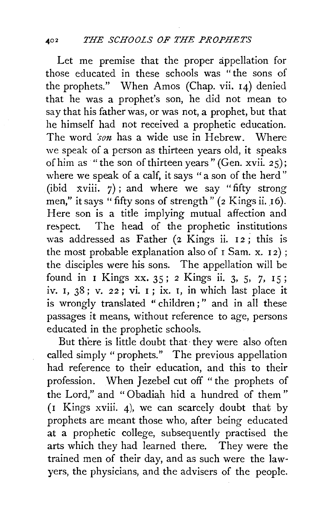Let me premise that the proper appellation for those educated in these schools was "the sons of the prophets." When Amos (Chap. vii. I4) denied that he was a prophet's son, he did not mean to say that his father was, or was not, a prophet, but that he himself had not received a prophetic education. The word 'son has a wide use in Hebrew. Where we speak of a person as thirteen years old, it speaks of him as "the son of thirteen years" (Gen. xvii. 25); where we speak of a calf, it says "a son of the herd" (ibid xviii.  $7$ ); and where we say "fifty strong men," it says "fifty sons of strength"  $(z$  Kings ii. 16). Here son is a title implying mutual affection and respect. The head of the prophetic institutions was addressed as Father (2 Kings ii. 12; this is the most probable explanation also of  $I$  Sam. x.  $I2$ ); the disciples were his sons. The appellation will be found in I Kings xx. 35; 2 Kings ii. 3, 5, 7, 15; iv. I, 38; v. *22* ; vi. I ; ix. 1, in which last place it is wrongly translated "children;" and in all these passages it means, without reference to age, persons educated in the prophetic schools.

But there is little doubt that· they were also often called simply "prophets." The previous appellation had reference to their education, and this to their profession. When Jezebel cut off "the prophets of the Lord," and " Obadiah hid a hundred of them" ( 1 Kings xviii. 4), we can scarcely doubt that by prophets are meant those who, after being educated at a prophetic college, subsequently practised the arts which they had learned there. They were the trained men of their day, and as such were the law~ yers, the physicians, and the advisers of the people.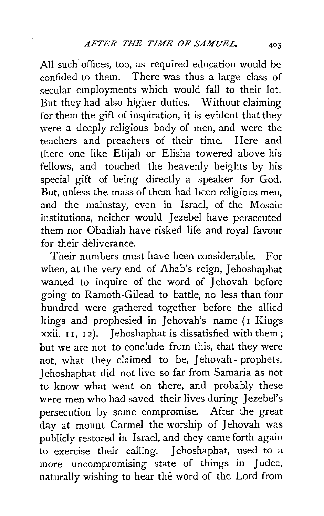All such offices, too, as required education would be confided to them. There was thus a large class of secular employments which would fall to their lot. But they had also higher duties. Without claiming for them the gift of inspiration, it is evident that they were a deeply religious body of men, and were the<br>teachers and preachers of their time. Here and teachers and preachers of their time. there one like Elijah or Elisha towered above his fellows, and touched the heavenly heights by his special gift of being directly a speaker for God. But, unless the mass of them had been religious men, and the mainstay, even in Israel, of the Mosaic institutions, neither would Jezebel have persecuted them nor Obadiah have risked life and royal favour for their deliverance.

Their numbers must have been considerable. For when, at the very end of Ahab's reign, Jehoshaphat wanted to inquire of the word of Jehovah before going to Ramoth-Gilead to battle, no less than four hundred were gathered together before the allied kings and prophesied in Jehovah's name (I Kings xxii. II, I2). Jehoshaphat is dissatisfied with them; but we are not to conclude from this, that they were not, what they claimed to be, Jehovah - prophets. Jehoshaphat did not live so far from Samaria as not to know what went on there, and probably these were men who had saved their lives during Jezebel's persecution by some compromise. After the great day at mount Carmel the worship of Jehovah was publicly restored in Israel, and they came forth again to exercise their calling. Jehoshaphat, used to a more uncompromising state of things in Judea, naturally wishing to hear the word of the Lord from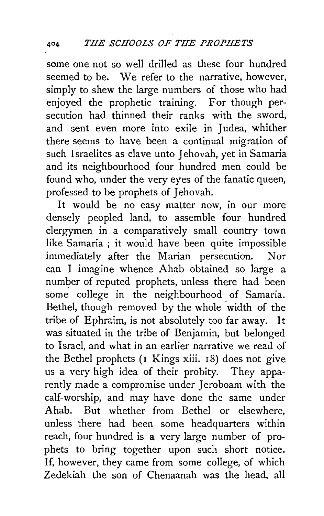some one not so well drilled as these four hundred seemed to be. We refer to the narrative, however, simply to shew the large numbers of those who had enjoyed the prophetic training. For though persecution had thinned their ranks with the sword, and sent even more into exile in Judea, whither there seems to have been a continual migration of such Israelites as clave unto Jehovah, yet in Samaria and its neighbourhood four hundred men could be found who, under the very eyes of the fanatic queen, professed to be prophets of Jehovah.

It would be no easy matter now, in our more densely peopled land, to assemble four hundred clergymen in a comparatively small country town like Samaria ; it would have been quite impossible immediately after the Marian persecution. Nor can I imagine whence Ahab obtained so large a number of reputed prophets, unless there had been some college in the neighbourhood of Samaria. Bethel, though removed by the whole width of the tribe of Ephraim, is not absolutely too far away. It was situated in the tribe of Benjamin, but belonged to Israel, and what in an earlier narrative we read of the Bethel prophets  $(I$  Kings xiii.  $I_8$ ) does not give us a very high idea of their probity. They apparently made a compromise under Jeroboam with the calf-worship, and may have done the same under Ahab. But whether from Bethel or elsewhere, unless there had been some headquarters within reach, four hundred is a very large number of prophets to bring together upon such short notice. If, however, they came from some college, of which Zedekiah the son of Chenaanah was the head, all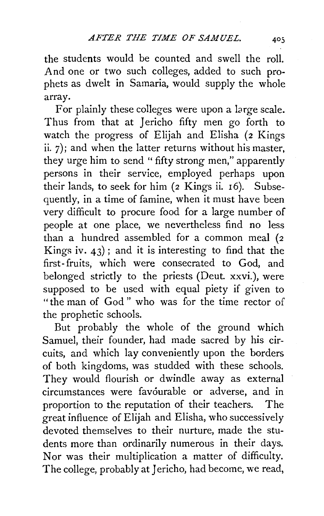the students would be counted and swell the roll. And one or two such colleges, added to such prophets as dwelt in Samaria, would supply the whole array.

For plainly these colleges were upon a large scale. Thus from that at Jericho fifty men go forth to watch the progress of Elijah and Elisha (2 Kings ii. 7); and when the latter returns without his master, they urge him to send " fifty strong men," apparently persons in their service, employed perhaps upon their lands, to seek for him (2 Kings ii. 16). Subsequently, in a time of famine, when it must have been very difficult to procure food for a large number of people at one place, we nevertheless find no less than a hundred assembled for a common meal (2 Kings iv.  $43$ ); and it is interesting to find that the first- fruits, which were consecrated to God, and belonged strictly to the priests (Deut. xxvi.), were supposed to be used with equal piety if given to "the man of God" who was for the time rector of the prophetic schools.

But probably the whole of the ground which Samuel, their founder, had made sacred by his circuits, and which lay conveniently upon the borders of both kingdoms, was studded with these schools. They would flourish or dwindle away as external circumstances were favourable or adverse, and in proportion to the reputation of their teachers. The great influence of Elijah and Elisha, who successively devoted themselves to their nurture, made the students more than ordinarily numerous in their days. Nor was their multiplication a matter of difficulty. The college, probably at Jericho, had become, we read,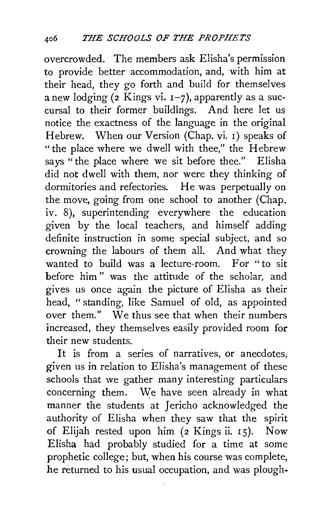overcrowded. The members ask Elisha's permission to provide better accommodation, and, with him at · their head, they go forth and build for themselves a new lodging (2 Kings vi.  $I$ -7), apparently as a succursal to their former buildings. And here let us notice the exactness of the language in the original Hebrew. When our Version (Chap. vi. 1) speaks of "the place where we dwell with thee," the Hebrew says "the place where we sit before thee." Elisha did not dwell with them, nor were they thinking of dormitories and refectories. He was perpetually on the move, going from one school to another (Chap. iv. 8), superintending everywhere the education given by the local teachers, and himself adding definite instruction in some special subject, and so crowning the labours of them all. And what they wanted to build was a lecture-room. For "to sit before him" was the attitude of the scholar, and gives us once again the picture of Elisha as their head, " standing, like Samuel of old, as appointed over them." We thus see that when their numbers increased, they themselves easily provided room for their new students.

It is from a series of narratives, or anecdotes, given us in relation to Elisha's management of these schools that we gather many interesting particulars concerning them. We have seen already in what manner the students at Jericho acknowledged the authority of Elisha when they saw that the spirit of Elijah rested upon him  $(2 \text{ Kings ii. } 15)$ . Now Elisha had probably studied for a time at some prophetic college; but, when his course was complete, he returned to his usual occupation, and was plough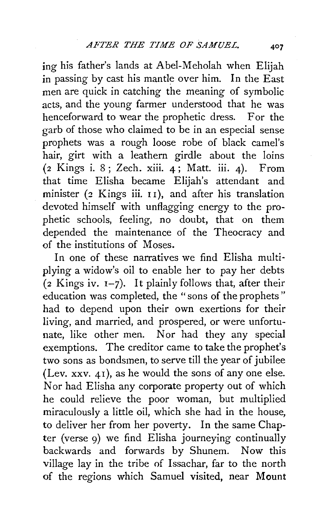ing his father's lands at Abel-Meholah when Elijah in passing by cast his mantle over him. In the East men are quick in catching the meaning of symbolic acts, and the young farmer understood that he was henceforward to wear the prophetic dress. For the garb of those who claimed to be in an especial sense prophets was a rough loose robe of black camel's hair, girt with a leathern girdle about the loins (2 Kings i. 8; Zech. xiii. 4; Matt. iii. 4). From that time Elisha became Elijah's attendant and minister (2 Kings iii. II), and after his translation devoted himself with unflagging energy to the prophetic schools, feeling, no doubt, that on them depended the maintenance of the Theocracy and of the institutions of Moses.

In one of these narratives we find Elisha multi· plying a widow's oil to enable her to pay her debts  $(2$  Kings iv.  $1-7$ ). It plainly follows that, after their education was completed, the "sons of the prophets" had to depend upon their own exertions for their living, and married, and prospered, or were unfortunate, like other men. Nor had they any special exemptions. The creditor came to take the prophet's two sons as bondsmen, to serve till the year of jubilee (Lev. xxv. 41), as he would the sons of any one else. Nor had Elisha any corporate property out of which he could relieve the poor woman, but multiplied miraculously a little oil, which she had in the house, to deliver her from her poverty. In the same Chapter (verse 9) we find Elisha journeying continually backwards and forwards by Shunem. Now this village lay in the tribe of Issachar, far to the north of the regions which Samuel visited, near Mount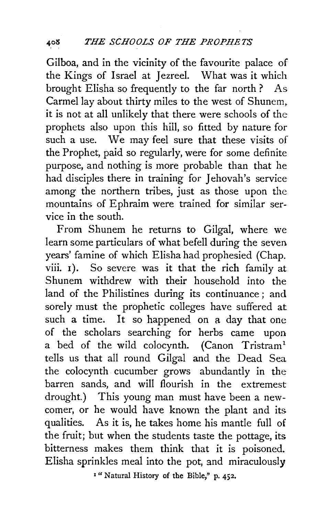Gilboa, and in the vicinity of the favourite palace of the Kings of Israel at Jezreel. What was it which brought Elisha so frequently to the far north ? As Carmel lay about thirty miles to the west of Shunem. it is not at all unlikely that there were schools of the prophets also upon this hill, so fitted by nature for such a use. We may feel sure that these visits of the Prophet, paid so regularly, were for some definite purpose, and nothing is more probable than that he had disciples there in training for Jehovah's service among the northern tribes, just as those upon the mountains of Ephraim were trained for similar service in the south.

From Shunem he returns to Gilgal, where we learn some particulars of what befell during the seven years' famine of which Elisha had prophesied (Chap. viii. 1). So severe was it that the rich family at Shunem withdrew with their household into the land of the Philistines during its continuance ; and sorely must the prophetic colleges have suffered at such a time. It so happened on a day that one of the scholars searching for herbs came upon a bed of the wild colocynth. (Canon Tristram<sup>1</sup> tells us that all round Gilgal and the Dead Sea the colocynth cucumber grows abundantly in the barren sands, and will flourish in the extremest drought.) This young man must have been a newcomer, or he would have known the plant and its qualities. As it is, he takes home his mantle full of the fruit; but when the students taste the pottage, its bitterness makes them think that it is poisoned. Elisha sprinkles meal into the pot, and miraculously

1 "Natural History of the Bible," p. 452.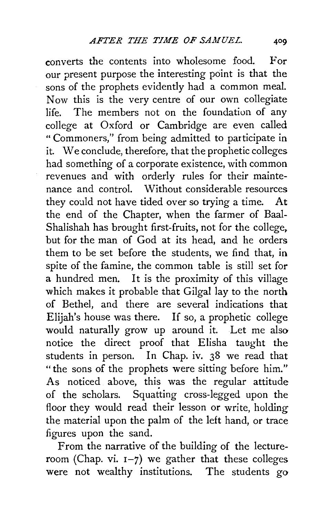converts the contents into wholesome food. For our present purpose the interesting point is that the sons of the prophets evidently had a common meal. Now this is the very centre of our own collegiate life. The members not on the foundation of any college at Oxford or Cambridge are even called "Commoners," from being admitted to participate in it. We conclude, therefore, that the prophetic colleges had something of a corporate existence, with common revenues and with orderly rules for their maintenance and control. Without considerable resources they could not have tided over so trying a time. At the end of the Chapter, when the farmer of Baal-Shalishah has brought first-fruits, not for the college, but for the man of God at its head, and he orders them to be set before the students, we find that, in spite of the famine, the common table is still set for a hundred men. It is the proximity of this village which makes it probable that Gilgal lay to the north of Bethel, and there are several indications that Elijah's house was there. If so, a prophetic college would naturally grow up around it. Let me also notice the direct proof that Elisha taught the students in person. In Chap. iv. 38 we read that "the sons of the prophets were sitting before him." As noticed above, this was the regular attitude of the scholars. Squatting cross-legged upon the floor they would read their lesson or write, holding the material upon the palm of the left hand, or trace figures upon the sand.

From the narrative of the building of the lectureroom (Chap. vi.  $1-7$ ) we gather that these colleges were not wealthy institutions. The students go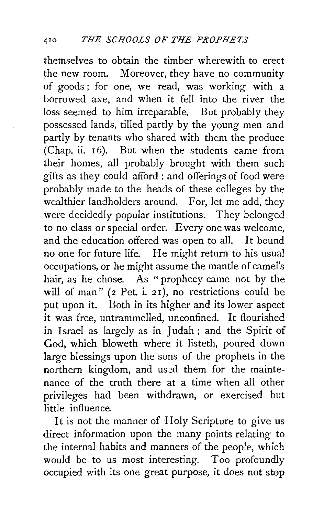themselves to obtain the timber wherewith to erect the new room. Moreover, they have no community of goods; for one, we read, was working with a borrowed axe, and when it fell into the river the loss seemed to him irreparable. But probably they possessed lands, tilled partly by the young men and partly by tenants who shared with them the produce (Chap. ii. 16). But when the students came from their homes, all probably brought with them such gifts as they could afford : and offerings of food were probably made to the heads of these colleges by the wealthier landholders around. For, let me add, they were decidedly popular institutions. They belonged to no class or special order. Every one was welcome, and the education offered was open to all. It bound no one for future life. He might return to his usual occupations, or he might assume the mantle of camel's hair, as he chose. As " prophecy came not by the will of man" ( $2$  Pet. i.  $21$ ), no restrictions could be put upon it. Both in its higher and its lower aspect it was free, untrammelled, unconfined. It flourished in Israel as largely as in Judah; and the Spirit of God, which bloweth where it listeth, poured down large blessings upon the sons of the prophets in the northern kingdom, and used them for the maintenance of the truth there at a time when all other privileges had been withdrawn, or exercised but **little influence.** 

It is not the manner of Holy Scripture to give us direct information upon the many points relating to the internal habits and manners of the people, which would be to us most interesting. Too profoundly occupied with its one great purpose, it does not stop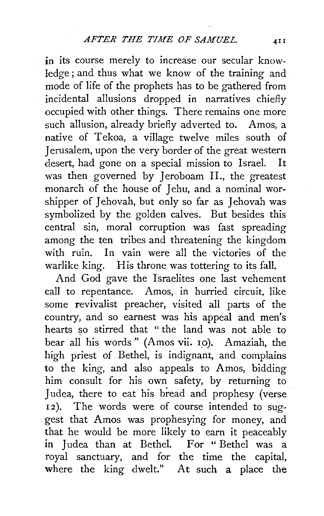in its course merely to increase our secular knowledge; and thus what we know of the training and mode of life of the prophets has to be gathered from incidental allusions dropped in narratives chiefly occupied with other things. There remains one more such allusion, already briefly adverted to. Amos, a native of Tekoa, a village twelve miles south of Jerusalem, upon the very border of the great western desert, had gone on a special mission to Israel. It was then governed by Jeroboam II., the greatest monarch of the house of Jehu, and a nominal worshipper of Jehovah, but only so far as Jehovah was symbolized by the golden calves. But besides this central sin, moral corruption was fast spreading among the ten tribes and threatening the kingdom with ruin. In vain were all the victories of the warlike king. His throne was tottering to its fall.

And God gave the Israelites one last vehement call to repentance. Amos, in hurried circuit, like some revivalist preacher, visited all parts of the country, and so earnest was his appeal and men's hearts so stirred that " the land was not able to bear all his words" (Amos vii. 10). Amaziah, the high priest of Bethel, is indignant, and complains to the king, and also appeals to Amos, bidding him consult for his own safety, by returning to Judea, there to eat his bread and prophesy (verse 12). The words were of course intended to suggest that Amos was prophesying for money, and that he would be more likely to earn it peaceably in Judea than at Bethel. For "Bethel was a royal sanctuary, and for the time the capital, where the king dwelt." At such a place the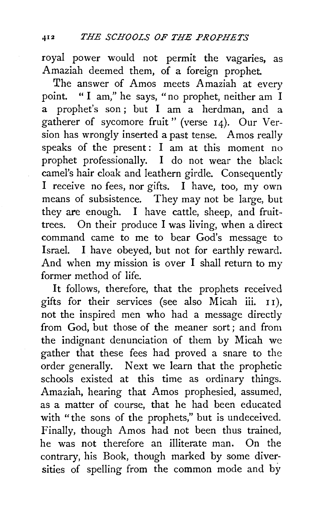royal power would not permit the vagaries, as Amaziah deemed them, of a foreign prophet.

The answer of Amos meets Amaziah at every point. " I am," he says, "no prophet, neither am I a prophet's son; but I am a herdman, and a gatherer of sycomore fruit" (verse 14). Our Version has wrongly inserted a past tense. Amos really speaks of the present: I am at this moment no prophet professionally. I do not wear the black camel's hair cloak and leathern girdle. Consequently I receive no fees, nor gifts. I have, too, my own means of subsistence. They may not be large, but they are enough. I have cattle, sheep, and fruittrees. On their produce I was living, when a direct command came to me to bear God's message to Israel. I have obeyed, but not for earthly reward. And when my mission is over I shall return to my former method of life.

It follows, therefore, that the prophets received gifts for their services (see also Micah iii.  $11$ ), not the inspired men who had a message directly from God, but those of the meaner sort; and from the indignant denunciation of them by Micah we gather that these fees had proved a snare to the order generally. Next we learn that the prophetic schools existed at this time as ordinary things. Amaziah, hearing that Amos prophesied, assumed, as a matter of course, that he had been educated with "the sons of the prophets," but is undeceived. Finally, though Amos had not been thus trained, he was not therefore an illiterate man. On the contrary, his Book, though marked by some diversities of spelling from the common mode and by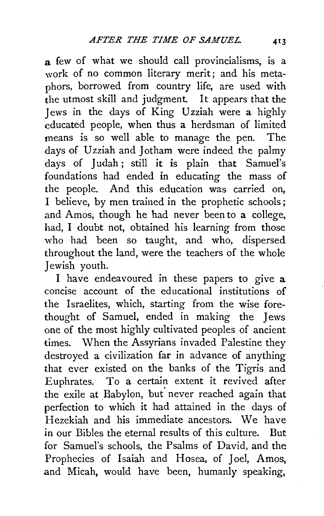a few of what we should call provincialisms, is a work of no common literary merit; and his metaphors, borrowed from country life, are used with the utmost skill and judgment. It appears that the Jews in the days of King Uzziah were a highly educated people, when thus a herdsman of limited means is so well able to manage the pen. The days of Uzziah and Jotham were indeed the palmy days of Judah; still it is plain that Samuel's foundations had ended in educating the mass of the people. And this education was carried on, I believe, by men trained in the prophetic schools; and Amos, though he had never been to a college, had, I doubt not, obtained his learning from those who had been so taught, and who, dispersed throughout the land, were the teachers of the whole Jewish youth.

I have endeavoured in these papers to give a concise account of the educational institutions of the Israelites, which, starting from the wise forethought of Samuel, ended in making the Jews one of the most highly cultivated peoples of ancient times. When the Assyrians invaded Palestine they destroyed a civilization far in advance of anything that ever existed on the banks of the Tigris and Euphrates. To a certain extent it revived after the exile at Babylon, but never reached again that perfection to which it had attained in the days of Hezekiah and his immediate ancestors. We have in our Bibles the eternal results of this culture. But for Samuel's schools, the Psalms of David, and the Prophecies of Isaiah and Hosea, of Joel, Amos, and Micah, would have been, humanly speaking,